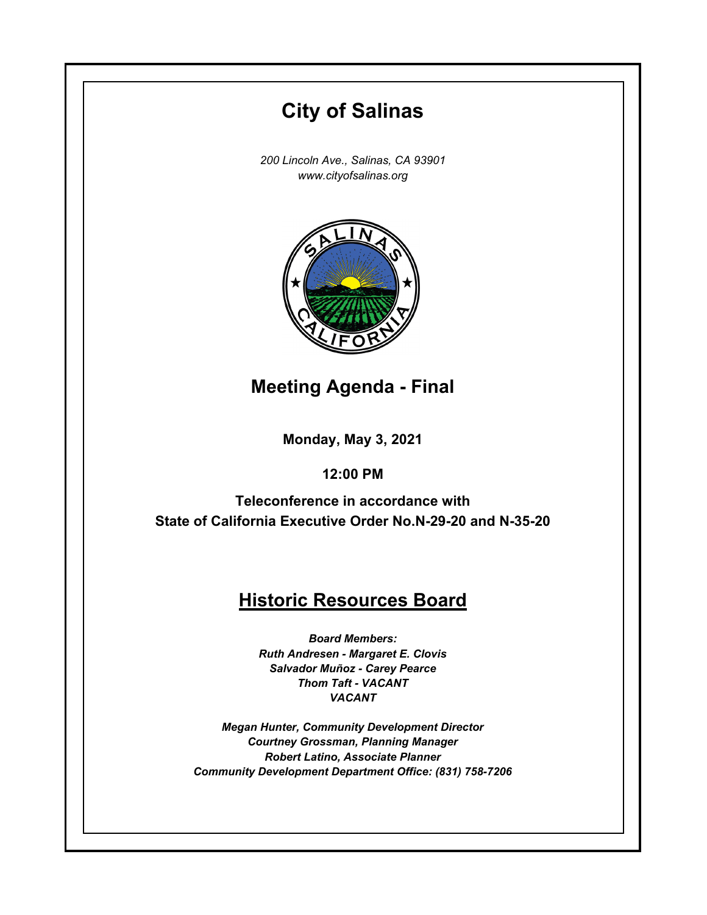# **Monday, May 3, 2021 12:00 PM City of Salinas** *200 Lincoln Ave., Salinas, CA 93901 www.cityofsalinas.org* **Historic Resources Board** *Board Members: Ruth Andresen - Margaret E. Clovis Salvador Muñoz - Carey Pearce Thom Taft - VACANT VACANT Megan Hunter, Community Development Director Courtney Grossman, Planning Manager Robert Latino, Associate Planner Community Development Department Office: (831) 758-7206* **Meeting Agenda - Final Teleconference in accordance with State of California Executive Order No.N-29-20 and N-35-20**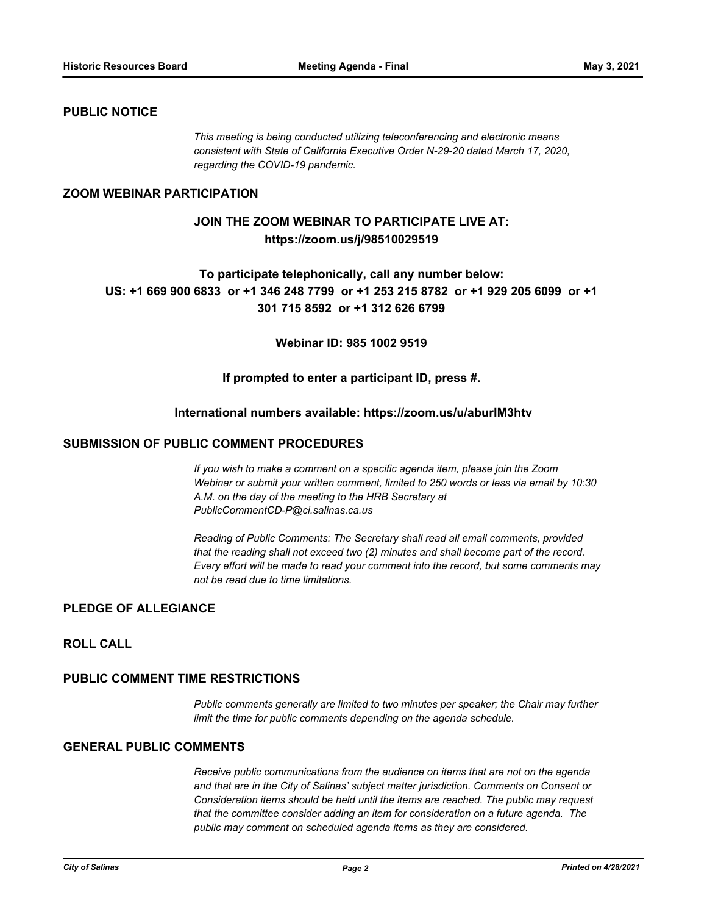# **PUBLIC NOTICE**

*This meeting is being conducted utilizing teleconferencing and electronic means consistent with State of California Executive Order N-29-20 dated March 17, 2020, regarding the COVID-19 pandemic.*

# **ZOOM WEBINAR PARTICIPATION**

# **JOIN THE ZOOM WEBINAR TO PARTICIPATE LIVE AT: https://zoom.us/j/98510029519**

# **To participate telephonically, call any number below: US: +1 669 900 6833 or +1 346 248 7799 or +1 253 215 8782 or +1 929 205 6099 or +1 301 715 8592 or +1 312 626 6799**

# **Webinar ID: 985 1002 9519**

# **If prompted to enter a participant ID, press #.**

# **International numbers available: https://zoom.us/u/aburIM3htv**

#### **SUBMISSION OF PUBLIC COMMENT PROCEDURES**

*If you wish to make a comment on a specific agenda item, please join the Zoom Webinar or submit your written comment, limited to 250 words or less via email by 10:30 A.M. on the day of the meeting to the HRB Secretary at PublicCommentCD-P@ci.salinas.ca.us*

*Reading of Public Comments: The Secretary shall read all email comments, provided that the reading shall not exceed two (2) minutes and shall become part of the record. Every effort will be made to read your comment into the record, but some comments may not be read due to time limitations.*

#### **PLEDGE OF ALLEGIANCE**

# **ROLL CALL**

#### **PUBLIC COMMENT TIME RESTRICTIONS**

*Public comments generally are limited to two minutes per speaker; the Chair may further limit the time for public comments depending on the agenda schedule.*

#### **GENERAL PUBLIC COMMENTS**

*Receive public communications from the audience on items that are not on the agenda and that are in the City of Salinas' subject matter jurisdiction. Comments on Consent or Consideration items should be held until the items are reached. The public may request that the committee consider adding an item for consideration on a future agenda. The public may comment on scheduled agenda items as they are considered.*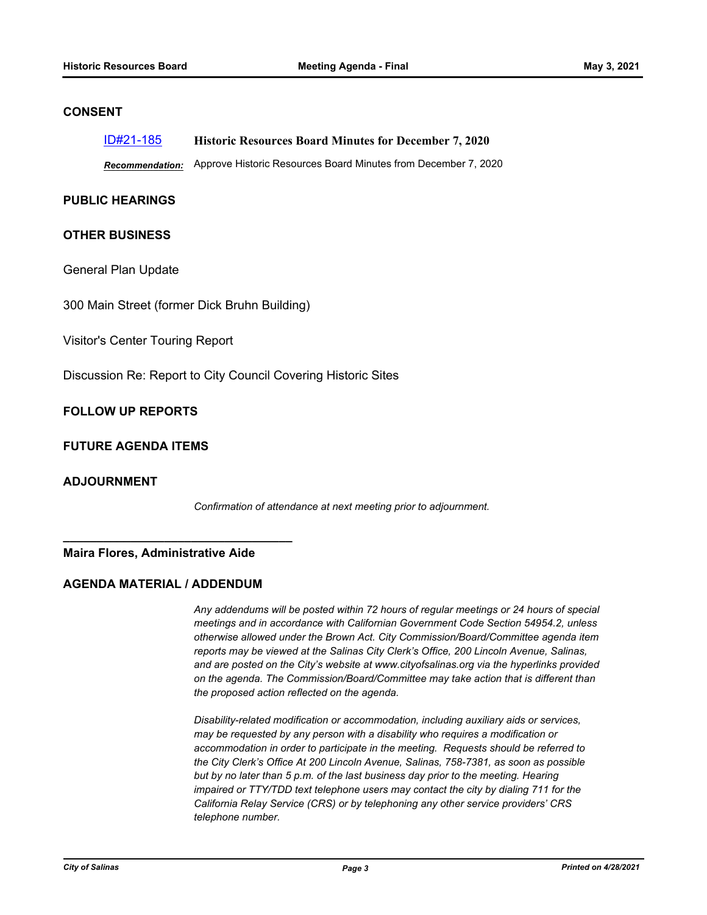# **CONSENT**

[ID#21-185](http://salinas.legistar.com/gateway.aspx?m=l&id=/matter.aspx?key=5383) **Historic Resources Board Minutes for December 7, 2020**

*Recommendation:* Approve Historic Resources Board Minutes from December 7, 2020

# **PUBLIC HEARINGS**

# **OTHER BUSINESS**

General Plan Update

300 Main Street (former Dick Bruhn Building)

Visitor's Center Touring Report

Discussion Re: Report to City Council Covering Historic Sites

# **FOLLOW UP REPORTS**

# **FUTURE AGENDA ITEMS**

# **ADJOURNMENT**

*Confirmation of attendance at next meeting prior to adjournment.*

#### **Maira Flores, Administrative Aide**

**\_\_\_\_\_\_\_\_\_\_\_\_\_\_\_\_\_\_\_\_\_\_\_\_\_\_\_\_\_\_\_\_\_\_** 

# **AGENDA MATERIAL / ADDENDUM**

*Any addendums will be posted within 72 hours of regular meetings or 24 hours of special meetings and in accordance with Californian Government Code Section 54954.2, unless otherwise allowed under the Brown Act. City Commission/Board/Committee agenda item reports may be viewed at the Salinas City Clerk's Office, 200 Lincoln Avenue, Salinas, and are posted on the City's website at www.cityofsalinas.org via the hyperlinks provided on the agenda. The Commission/Board/Committee may take action that is different than the proposed action reflected on the agenda.*

*Disability-related modification or accommodation, including auxiliary aids or services, may be requested by any person with a disability who requires a modification or accommodation in order to participate in the meeting. Requests should be referred to the City Clerk's Office At 200 Lincoln Avenue, Salinas, 758-7381, as soon as possible but by no later than 5 p.m. of the last business day prior to the meeting. Hearing impaired or TTY/TDD text telephone users may contact the city by dialing 711 for the California Relay Service (CRS) or by telephoning any other service providers' CRS telephone number.*